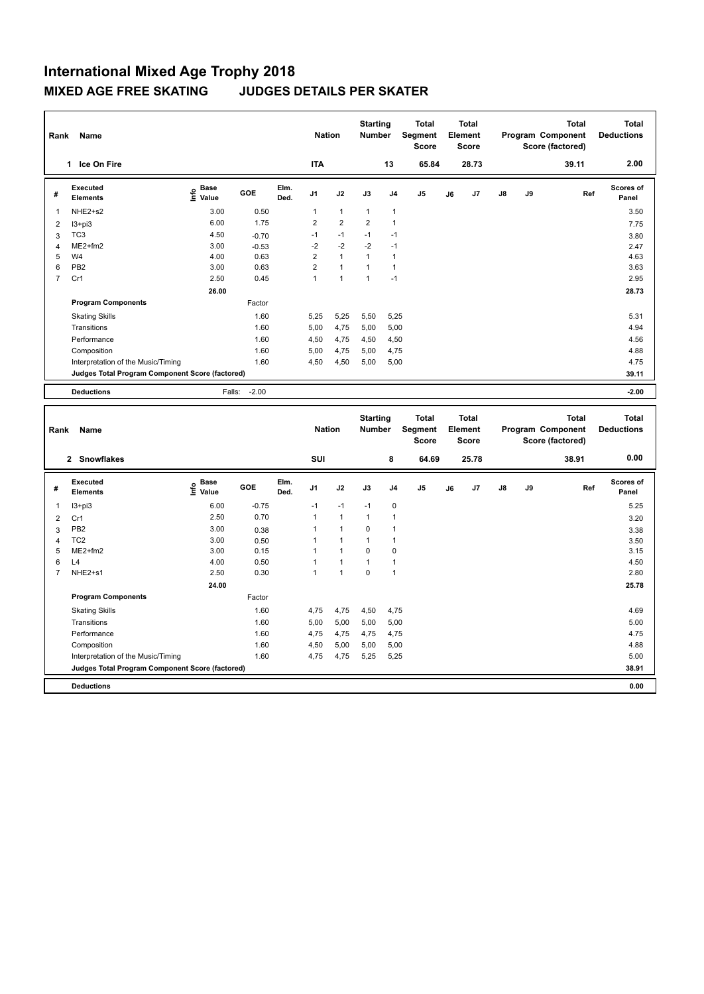| Rank           | Name                                            |                             |         |              | <b>Nation</b>  |                | <b>Starting</b><br><b>Number</b> |                | <b>Total</b><br>Segment<br><b>Score</b> |    | <b>Total</b><br>Element<br><b>Score</b> |               |    | <b>Total</b><br>Program Component<br>Score (factored) | <b>Total</b><br><b>Deductions</b> |
|----------------|-------------------------------------------------|-----------------------------|---------|--------------|----------------|----------------|----------------------------------|----------------|-----------------------------------------|----|-----------------------------------------|---------------|----|-------------------------------------------------------|-----------------------------------|
|                | Ice On Fire<br>1.                               |                             |         |              | <b>ITA</b>     |                |                                  | 13             | 65.84                                   |    | 28.73                                   |               |    | 39.11                                                 | 2.00                              |
| #              | Executed<br><b>Elements</b>                     | Base<br>$\frac{6}{5}$ Value | GOE     | Elm.<br>Ded. | J <sub>1</sub> | J2             | J3                               | J <sub>4</sub> | J <sub>5</sub>                          | J6 | J7                                      | $\mathsf{J}8$ | J9 | Ref                                                   | Scores of<br>Panel                |
| $\mathbf{1}$   | NHE2+s2                                         | 3.00                        | 0.50    |              | 1              | $\mathbf{1}$   | $\overline{1}$                   | $\mathbf{1}$   |                                         |    |                                         |               |    |                                                       | 3.50                              |
| 2              | $13 + pi3$                                      | 6.00                        | 1.75    |              | $\overline{2}$ | $\overline{2}$ | 2                                | $\overline{1}$ |                                         |    |                                         |               |    |                                                       | 7.75                              |
| 3              | TC <sub>3</sub>                                 | 4.50                        | $-0.70$ |              | $-1$           | $-1$           | $-1$                             | -1             |                                         |    |                                         |               |    |                                                       | 3.80                              |
| 4              | $ME2+fm2$                                       | 3.00                        | $-0.53$ |              | $-2$           | $-2$           | $-2$                             | $-1$           |                                         |    |                                         |               |    |                                                       | 2.47                              |
| 5              | W <sub>4</sub>                                  | 4.00                        | 0.63    |              | $\overline{2}$ | $\overline{1}$ | 1                                | $\overline{1}$ |                                         |    |                                         |               |    |                                                       | 4.63                              |
| 6              | PB <sub>2</sub>                                 | 3.00                        | 0.63    |              | $\overline{2}$ | $\overline{1}$ |                                  | $\overline{1}$ |                                         |    |                                         |               |    |                                                       | 3.63                              |
| $\overline{7}$ | Cr1                                             | 2.50                        | 0.45    |              | 1              | $\overline{1}$ | 1                                | $-1$           |                                         |    |                                         |               |    |                                                       | 2.95                              |
|                |                                                 | 26.00                       |         |              |                |                |                                  |                |                                         |    |                                         |               |    |                                                       | 28.73                             |
|                | <b>Program Components</b>                       |                             | Factor  |              |                |                |                                  |                |                                         |    |                                         |               |    |                                                       |                                   |
|                | <b>Skating Skills</b>                           |                             | 1.60    |              | 5,25           | 5,25           | 5,50                             | 5,25           |                                         |    |                                         |               |    |                                                       | 5.31                              |
|                | Transitions                                     |                             | 1.60    |              | 5,00           | 4,75           | 5,00                             | 5,00           |                                         |    |                                         |               |    |                                                       | 4.94                              |
|                | Performance                                     |                             | 1.60    |              | 4,50           | 4,75           | 4,50                             | 4,50           |                                         |    |                                         |               |    |                                                       | 4.56                              |
|                | Composition                                     |                             | 1.60    |              | 5,00           | 4,75           | 5,00                             | 4,75           |                                         |    |                                         |               |    |                                                       | 4.88                              |
|                | Interpretation of the Music/Timing              |                             | 1.60    |              | 4,50           | 4,50           | 5,00                             | 5,00           |                                         |    |                                         |               |    |                                                       | 4.75                              |
|                | Judges Total Program Component Score (factored) |                             |         |              |                |                |                                  |                |                                         |    |                                         |               |    |                                                       | 39.11                             |
|                | <b>Deductions</b>                               | Falls:                      | $-2.00$ |              |                |                |                                  |                |                                         |    |                                         |               |    |                                                       | $-2.00$                           |

| Rank           | Name                                            |                                  |         |              | <b>Nation</b>  |                | <b>Starting</b><br><b>Number</b> |                         | <b>Total</b><br>Segment<br><b>Score</b> |    | Total<br>Element<br><b>Score</b> |    |    | <b>Total</b><br>Program Component<br>Score (factored) | <b>Total</b><br><b>Deductions</b> |
|----------------|-------------------------------------------------|----------------------------------|---------|--------------|----------------|----------------|----------------------------------|-------------------------|-----------------------------------------|----|----------------------------------|----|----|-------------------------------------------------------|-----------------------------------|
|                | 2 Snowflakes                                    |                                  |         |              | SUI            |                |                                  | 8                       | 64.69                                   |    | 25.78                            |    |    | 38.91                                                 | 0.00                              |
| #              | Executed<br><b>Elements</b>                     | <b>Base</b><br>e Base<br>⊆ Value | GOE     | Elm.<br>Ded. | J <sub>1</sub> | J2             | J3                               | J <sub>4</sub>          | J <sub>5</sub>                          | J6 | J7                               | J8 | J9 | Ref                                                   | <b>Scores of</b><br>Panel         |
| 1              | $13 + pi3$                                      | 6.00                             | $-0.75$ |              | $-1$           | $-1$           | $-1$                             | 0                       |                                         |    |                                  |    |    |                                                       | 5.25                              |
| $\overline{2}$ | Cr1                                             | 2.50                             | 0.70    |              | $\mathbf{1}$   | $\overline{1}$ | $\mathbf{1}$                     | $\overline{1}$          |                                         |    |                                  |    |    |                                                       | 3.20                              |
| 3              | PB <sub>2</sub>                                 | 3.00                             | 0.38    |              | 1              | $\overline{1}$ | 0                                | $\overline{1}$          |                                         |    |                                  |    |    |                                                       | 3.38                              |
| 4              | TC <sub>2</sub>                                 | 3.00                             | 0.50    |              | 1              | 1              | 1                                | $\overline{\mathbf{1}}$ |                                         |    |                                  |    |    |                                                       | 3.50                              |
| 5              | $ME2+fm2$                                       | 3.00                             | 0.15    |              | 1              | $\overline{1}$ | $\Omega$                         | 0                       |                                         |    |                                  |    |    |                                                       | 3.15                              |
| 6              | L4                                              | 4.00                             | 0.50    |              | $\overline{1}$ | $\overline{1}$ |                                  | $\overline{1}$          |                                         |    |                                  |    |    |                                                       | 4.50                              |
| 7              | NHE2+s1                                         | 2.50                             | 0.30    |              | 1              | 1              | $\mathbf 0$                      | $\overline{1}$          |                                         |    |                                  |    |    |                                                       | 2.80                              |
|                |                                                 | 24.00                            |         |              |                |                |                                  |                         |                                         |    |                                  |    |    |                                                       | 25.78                             |
|                | <b>Program Components</b>                       |                                  | Factor  |              |                |                |                                  |                         |                                         |    |                                  |    |    |                                                       |                                   |
|                | <b>Skating Skills</b>                           |                                  | 1.60    |              | 4,75           | 4,75           | 4,50                             | 4,75                    |                                         |    |                                  |    |    |                                                       | 4.69                              |
|                | Transitions                                     |                                  | 1.60    |              | 5,00           | 5,00           | 5,00                             | 5,00                    |                                         |    |                                  |    |    |                                                       | 5.00                              |
|                | Performance                                     |                                  | 1.60    |              | 4,75           | 4,75           | 4,75                             | 4,75                    |                                         |    |                                  |    |    |                                                       | 4.75                              |
|                | Composition                                     |                                  | 1.60    |              | 4,50           | 5,00           | 5,00                             | 5,00                    |                                         |    |                                  |    |    |                                                       | 4.88                              |
|                | Interpretation of the Music/Timing              |                                  | 1.60    |              | 4,75           | 4,75           | 5,25                             | 5,25                    |                                         |    |                                  |    |    |                                                       | 5.00                              |
|                | Judges Total Program Component Score (factored) |                                  |         |              |                |                |                                  |                         |                                         |    |                                  |    |    |                                                       | 38.91                             |
|                | <b>Deductions</b>                               |                                  |         |              |                |                |                                  |                         |                                         |    |                                  |    |    |                                                       | 0.00                              |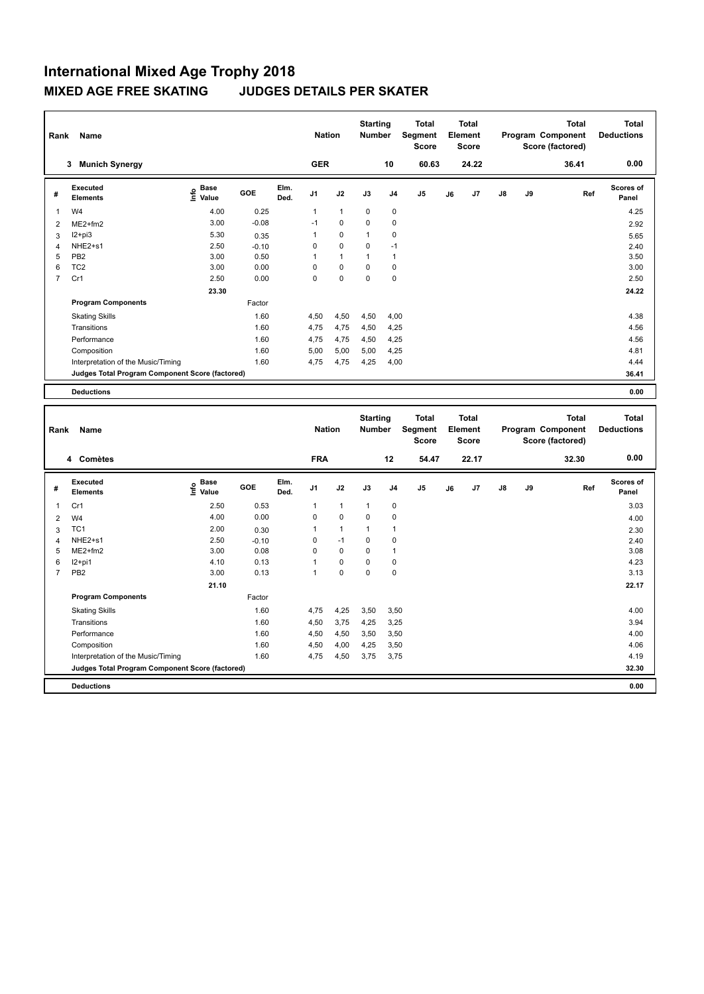| Rank           | Name                                            |                                    |         |              | <b>Nation</b>  |                      | <b>Starting</b><br><b>Number</b> |                | <b>Total</b><br>Segment<br><b>Score</b> |    | <b>Total</b><br>Element<br><b>Score</b> |    |    | <b>Total</b><br>Program Component<br>Score (factored) | <b>Total</b><br><b>Deductions</b> |
|----------------|-------------------------------------------------|------------------------------------|---------|--------------|----------------|----------------------|----------------------------------|----------------|-----------------------------------------|----|-----------------------------------------|----|----|-------------------------------------------------------|-----------------------------------|
|                | <b>Munich Synergy</b><br>3                      |                                    |         |              | <b>GER</b>     |                      |                                  | 10             | 60.63                                   |    | 24.22                                   |    |    | 36.41                                                 | 0.00                              |
| #              | Executed<br><b>Elements</b>                     | <b>Base</b><br>$\frac{6}{5}$ Value | GOE     | Elm.<br>Ded. | J <sub>1</sub> | J2                   | J3                               | J <sub>4</sub> | J <sub>5</sub>                          | J6 | J7                                      | J8 | J9 | Ref                                                   | <b>Scores of</b><br>Panel         |
| 1              | W <sub>4</sub>                                  | 4.00                               | 0.25    |              | 1              | $\mathbf{1}$         | 0                                | 0              |                                         |    |                                         |    |    |                                                       | 4.25                              |
| $\overline{2}$ | $ME2+fm2$                                       | 3.00                               | $-0.08$ |              | $-1$           | 0                    | 0                                | 0              |                                         |    |                                         |    |    |                                                       | 2.92                              |
| 3              | $12 + pi3$                                      | 5.30                               | 0.35    |              | 1              | 0                    | 1                                | 0              |                                         |    |                                         |    |    |                                                       | 5.65                              |
| 4              | NHE <sub>2+s1</sub>                             | 2.50                               | $-0.10$ |              | 0              | $\mathbf 0$          | 0                                | $-1$           |                                         |    |                                         |    |    |                                                       | 2.40                              |
| 5              | PB <sub>2</sub>                                 | 3.00                               | 0.50    |              | 1              | $\blacktriangleleft$ | 1                                | $\overline{1}$ |                                         |    |                                         |    |    |                                                       | 3.50                              |
| 6              | TC <sub>2</sub>                                 | 3.00                               | 0.00    |              | 0              | $\mathbf 0$          | 0                                | 0              |                                         |    |                                         |    |    |                                                       | 3.00                              |
| 7              | Cr1                                             | 2.50                               | 0.00    |              | 0              | 0                    | 0                                | 0              |                                         |    |                                         |    |    |                                                       | 2.50                              |
|                |                                                 | 23.30                              |         |              |                |                      |                                  |                |                                         |    |                                         |    |    |                                                       | 24.22                             |
|                | <b>Program Components</b>                       |                                    | Factor  |              |                |                      |                                  |                |                                         |    |                                         |    |    |                                                       |                                   |
|                | <b>Skating Skills</b>                           |                                    | 1.60    |              | 4,50           | 4,50                 | 4,50                             | 4,00           |                                         |    |                                         |    |    |                                                       | 4.38                              |
|                | Transitions                                     |                                    | 1.60    |              | 4,75           | 4,75                 | 4,50                             | 4,25           |                                         |    |                                         |    |    |                                                       | 4.56                              |
|                | Performance                                     |                                    | 1.60    |              | 4,75           | 4,75                 | 4,50                             | 4,25           |                                         |    |                                         |    |    |                                                       | 4.56                              |
|                | Composition                                     |                                    | 1.60    |              | 5.00           | 5,00                 | 5,00                             | 4,25           |                                         |    |                                         |    |    |                                                       | 4.81                              |
|                | Interpretation of the Music/Timing              |                                    | 1.60    |              | 4,75           | 4,75                 | 4,25                             | 4,00           |                                         |    |                                         |    |    |                                                       | 4.44                              |
|                | Judges Total Program Component Score (factored) |                                    |         |              |                |                      |                                  |                |                                         |    |                                         |    |    |                                                       | 36.41                             |
|                | <b>Deductions</b>                               |                                    |         |              |                |                      |                                  |                |                                         |    |                                         |    |    |                                                       | 0.00                              |

| Rank           | Name                                            |                                             |         |              | <b>Nation</b>  |              | <b>Starting</b><br><b>Number</b> |                | <b>Total</b><br>Segment<br><b>Score</b> |    | <b>Total</b><br>Element<br><b>Score</b> |               |    | <b>Total</b><br>Program Component<br>Score (factored) | <b>Total</b><br><b>Deductions</b> |
|----------------|-------------------------------------------------|---------------------------------------------|---------|--------------|----------------|--------------|----------------------------------|----------------|-----------------------------------------|----|-----------------------------------------|---------------|----|-------------------------------------------------------|-----------------------------------|
|                | 4 Comètes                                       |                                             |         |              | <b>FRA</b>     |              |                                  | 12             | 54.47                                   |    | 22.17                                   |               |    | 32.30                                                 | 0.00                              |
| #              | Executed<br><b>Elements</b>                     | <b>Base</b><br>e <sup>Base</sup><br>⊆ Value | GOE     | Elm.<br>Ded. | J <sub>1</sub> | J2           | J3                               | J <sub>4</sub> | J <sub>5</sub>                          | J6 | J7                                      | $\mathsf{J}8$ | J9 | Ref                                                   | <b>Scores of</b><br>Panel         |
| -1             | Cr1                                             | 2.50                                        | 0.53    |              | 1              | $\mathbf{1}$ | $\overline{1}$                   | $\mathbf 0$    |                                         |    |                                         |               |    |                                                       | 3.03                              |
| $\overline{2}$ | W <sub>4</sub>                                  | 4.00                                        | 0.00    |              | $\Omega$       | $\Omega$     | $\Omega$                         | 0              |                                         |    |                                         |               |    |                                                       | 4.00                              |
| 3              | TC <sub>1</sub>                                 | 2.00                                        | 0.30    |              | 1              | $\mathbf{1}$ | 1                                | $\overline{1}$ |                                         |    |                                         |               |    |                                                       | 2.30                              |
| $\overline{4}$ | NHE2+s1                                         | 2.50                                        | $-0.10$ |              | 0              | $-1$         | 0                                | 0              |                                         |    |                                         |               |    |                                                       | 2.40                              |
| 5              | $ME2+fm2$                                       | 3.00                                        | 0.08    |              | 0              | 0            | 0                                | $\mathbf 1$    |                                         |    |                                         |               |    |                                                       | 3.08                              |
| 6              | $12+pi1$                                        | 4.10                                        | 0.13    |              | 1              | $\mathbf 0$  | 0                                | 0              |                                         |    |                                         |               |    |                                                       | 4.23                              |
| $\overline{7}$ | PB <sub>2</sub>                                 | 3.00                                        | 0.13    |              | 1              | 0            | 0                                | 0              |                                         |    |                                         |               |    |                                                       | 3.13                              |
|                |                                                 | 21.10                                       |         |              |                |              |                                  |                |                                         |    |                                         |               |    |                                                       | 22.17                             |
|                | <b>Program Components</b>                       |                                             | Factor  |              |                |              |                                  |                |                                         |    |                                         |               |    |                                                       |                                   |
|                | <b>Skating Skills</b>                           |                                             | 1.60    |              | 4.75           | 4,25         | 3,50                             | 3.50           |                                         |    |                                         |               |    |                                                       | 4.00                              |
|                | Transitions                                     |                                             | 1.60    |              | 4,50           | 3,75         | 4,25                             | 3,25           |                                         |    |                                         |               |    |                                                       | 3.94                              |
|                | Performance                                     |                                             | 1.60    |              | 4,50           | 4,50         | 3,50                             | 3,50           |                                         |    |                                         |               |    |                                                       | 4.00                              |
|                | Composition                                     |                                             | 1.60    |              | 4,50           | 4,00         | 4,25                             | 3,50           |                                         |    |                                         |               |    |                                                       | 4.06                              |
|                | Interpretation of the Music/Timing              |                                             | 1.60    |              | 4,75           | 4,50         | 3,75                             | 3,75           |                                         |    |                                         |               |    |                                                       | 4.19                              |
|                | Judges Total Program Component Score (factored) |                                             |         |              |                |              |                                  |                |                                         |    |                                         |               |    |                                                       | 32.30                             |
|                | <b>Deductions</b>                               |                                             |         |              |                |              |                                  |                |                                         |    |                                         |               |    |                                                       | 0.00                              |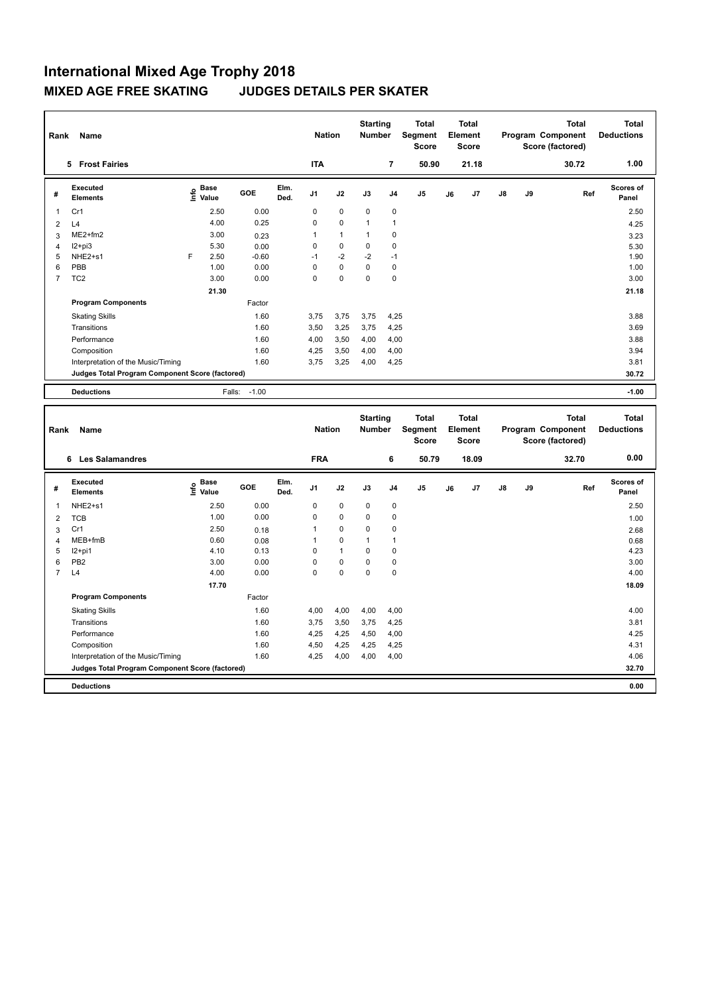| Rank           | Name                                            |   |                                  |         |              | <b>Nation</b>  |                | <b>Starting</b><br><b>Number</b> |                | <b>Total</b><br>Segment<br><b>Score</b> |    | <b>Total</b><br>Element<br><b>Score</b> |               |    | <b>Total</b><br>Program Component<br>Score (factored) | <b>Total</b><br><b>Deductions</b> |
|----------------|-------------------------------------------------|---|----------------------------------|---------|--------------|----------------|----------------|----------------------------------|----------------|-----------------------------------------|----|-----------------------------------------|---------------|----|-------------------------------------------------------|-----------------------------------|
|                | 5 Frost Fairies                                 |   |                                  |         |              | <b>ITA</b>     |                |                                  | 7              | 50.90                                   |    | 21.18                                   |               |    | 30.72                                                 | 1.00                              |
| #              | Executed<br><b>Elements</b>                     |   | <b>Base</b><br>e Base<br>⊆ Value | GOE     | Elm.<br>Ded. | J <sub>1</sub> | J2             | J3                               | J <sub>4</sub> | J <sub>5</sub>                          | J6 | J <sub>7</sub>                          | $\mathsf{J}8$ | J9 | Ref                                                   | <b>Scores of</b><br>Panel         |
| $\overline{1}$ | Cr1                                             |   | 2.50                             | 0.00    |              | 0              | 0              | 0                                | 0              |                                         |    |                                         |               |    |                                                       | 2.50                              |
| $\overline{2}$ | L4                                              |   | 4.00                             | 0.25    |              | 0              | $\Omega$       | 1                                | $\overline{1}$ |                                         |    |                                         |               |    |                                                       | 4.25                              |
| 3              | $ME2+fm2$                                       |   | 3.00                             | 0.23    |              | 1              | $\overline{1}$ | 1                                | 0              |                                         |    |                                         |               |    |                                                       | 3.23                              |
| 4              | $12+pi3$                                        |   | 5.30                             | 0.00    |              | 0              | $\Omega$       | 0                                | $\Omega$       |                                         |    |                                         |               |    |                                                       | 5.30                              |
| 5              | NHE2+s1                                         | F | 2.50                             | $-0.60$ |              | $-1$           | $-2$           | $-2$                             | $-1$           |                                         |    |                                         |               |    |                                                       | 1.90                              |
| 6              | PBB                                             |   | 1.00                             | 0.00    |              | $\Omega$       | $\mathbf 0$    | 0                                | 0              |                                         |    |                                         |               |    |                                                       | 1.00                              |
| $\overline{7}$ | TC <sub>2</sub>                                 |   | 3.00                             | 0.00    |              | 0              | $\mathbf 0$    | $\mathbf 0$                      | 0              |                                         |    |                                         |               |    |                                                       | 3.00                              |
|                |                                                 |   | 21.30                            |         |              |                |                |                                  |                |                                         |    |                                         |               |    |                                                       | 21.18                             |
|                | <b>Program Components</b>                       |   |                                  | Factor  |              |                |                |                                  |                |                                         |    |                                         |               |    |                                                       |                                   |
|                | <b>Skating Skills</b>                           |   |                                  | 1.60    |              | 3.75           | 3.75           | 3,75                             | 4,25           |                                         |    |                                         |               |    |                                                       | 3.88                              |
|                | Transitions                                     |   |                                  | 1.60    |              | 3,50           | 3,25           | 3,75                             | 4,25           |                                         |    |                                         |               |    |                                                       | 3.69                              |
|                | Performance                                     |   |                                  | 1.60    |              | 4,00           | 3,50           | 4,00                             | 4,00           |                                         |    |                                         |               |    |                                                       | 3.88                              |
|                | Composition                                     |   |                                  | 1.60    |              | 4,25           | 3,50           | 4,00                             | 4,00           |                                         |    |                                         |               |    |                                                       | 3.94                              |
|                | Interpretation of the Music/Timing              |   |                                  | 1.60    |              | 3,75           | 3,25           | 4,00                             | 4,25           |                                         |    |                                         |               |    |                                                       | 3.81                              |
|                | Judges Total Program Component Score (factored) |   |                                  |         |              |                |                |                                  |                |                                         |    |                                         |               |    |                                                       | 30.72                             |
|                | <b>Deductions</b>                               |   | Falls:                           | $-1.00$ |              |                |                |                                  |                |                                         |    |                                         |               |    |                                                       | $-1.00$                           |

| Rank           | Name                                            |                           |        |              | <b>Nation</b>  |              | <b>Starting</b><br><b>Number</b> |                | <b>Total</b><br>Segment<br><b>Score</b> |    | Total<br>Element<br><b>Score</b> |               |    | <b>Total</b><br>Program Component<br>Score (factored) | Total<br><b>Deductions</b> |
|----------------|-------------------------------------------------|---------------------------|--------|--------------|----------------|--------------|----------------------------------|----------------|-----------------------------------------|----|----------------------------------|---------------|----|-------------------------------------------------------|----------------------------|
|                | <b>Les Salamandres</b><br>6                     |                           |        |              | <b>FRA</b>     |              |                                  | 6              | 50.79                                   |    | 18.09                            |               |    | 32.70                                                 | 0.00                       |
| #              | Executed<br><b>Elements</b>                     | Base<br>e Base<br>⊑ Value | GOE    | Elm.<br>Ded. | J <sub>1</sub> | J2           | J3                               | J <sub>4</sub> | J <sub>5</sub>                          | J6 | J7                               | $\mathsf{J}8$ | J9 | Ref                                                   | Scores of<br>Panel         |
| 1              | NHE2+s1                                         | 2.50                      | 0.00   |              | 0              | $\mathbf 0$  | $\mathbf 0$                      | 0              |                                         |    |                                  |               |    |                                                       | 2.50                       |
| 2              | <b>TCB</b>                                      | 1.00                      | 0.00   |              | 0              | 0            | 0                                | 0              |                                         |    |                                  |               |    |                                                       | 1.00                       |
| 3              | Cr1                                             | 2.50                      | 0.18   |              | 1              | 0            | 0                                | 0              |                                         |    |                                  |               |    |                                                       | 2.68                       |
| 4              | MEB+fmB                                         | 0.60                      | 0.08   |              | 1              | $\mathbf 0$  | 1                                | 1              |                                         |    |                                  |               |    |                                                       | 0.68                       |
| 5              | $12+pi1$                                        | 4.10                      | 0.13   |              | 0              | $\mathbf{1}$ | $\Omega$                         | 0              |                                         |    |                                  |               |    |                                                       | 4.23                       |
| 6              | PB <sub>2</sub>                                 | 3.00                      | 0.00   |              | 0              | $\mathbf 0$  | $\Omega$                         | 0              |                                         |    |                                  |               |    |                                                       | 3.00                       |
| $\overline{7}$ | L <sub>4</sub>                                  | 4.00                      | 0.00   |              | 0              | $\Omega$     | $\Omega$                         | $\Omega$       |                                         |    |                                  |               |    |                                                       | 4.00                       |
|                |                                                 | 17.70                     |        |              |                |              |                                  |                |                                         |    |                                  |               |    |                                                       | 18.09                      |
|                | <b>Program Components</b>                       |                           | Factor |              |                |              |                                  |                |                                         |    |                                  |               |    |                                                       |                            |
|                | <b>Skating Skills</b>                           |                           | 1.60   |              | 4,00           | 4,00         | 4,00                             | 4,00           |                                         |    |                                  |               |    |                                                       | 4.00                       |
|                | Transitions                                     |                           | 1.60   |              | 3.75           | 3,50         | 3,75                             | 4,25           |                                         |    |                                  |               |    |                                                       | 3.81                       |
|                | Performance                                     |                           | 1.60   |              | 4,25           | 4,25         | 4,50                             | 4,00           |                                         |    |                                  |               |    |                                                       | 4.25                       |
|                | Composition                                     |                           | 1.60   |              | 4,50           | 4,25         | 4,25                             | 4,25           |                                         |    |                                  |               |    |                                                       | 4.31                       |
|                | Interpretation of the Music/Timing              |                           | 1.60   |              | 4,25           | 4,00         | 4,00                             | 4,00           |                                         |    |                                  |               |    |                                                       | 4.06                       |
|                | Judges Total Program Component Score (factored) |                           |        |              |                |              |                                  |                |                                         |    |                                  |               |    |                                                       | 32.70                      |
|                | <b>Deductions</b>                               |                           |        |              |                |              |                                  |                |                                         |    |                                  |               |    |                                                       | 0.00                       |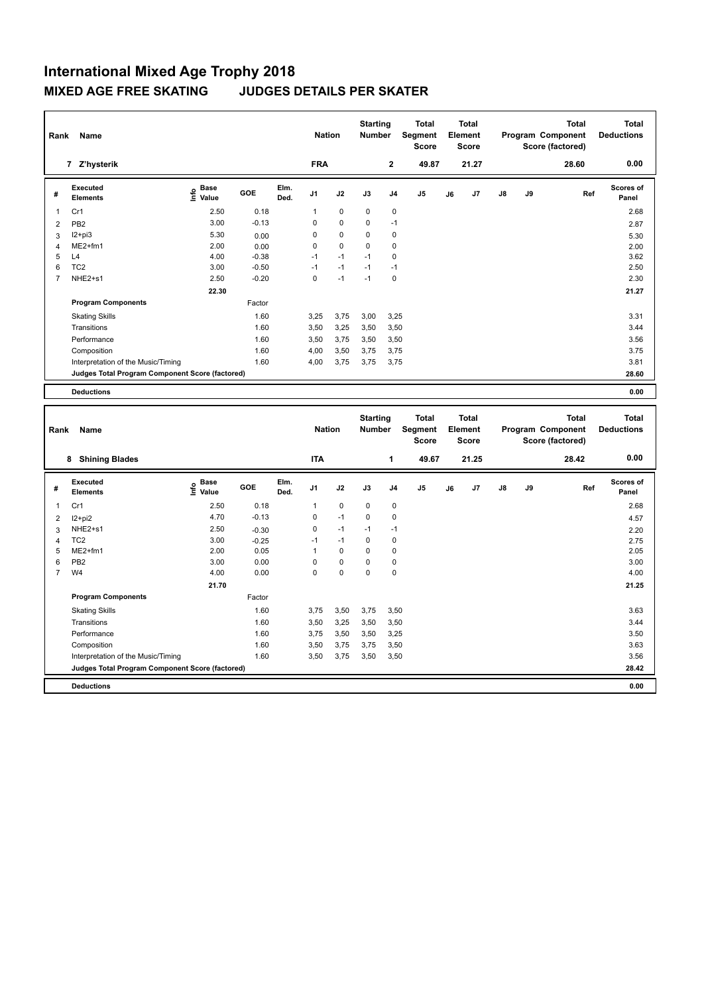| Rank           | Name                                            |                                    |         |              | <b>Nation</b>  |             | <b>Starting</b><br><b>Number</b> |                | <b>Total</b><br>Segment<br><b>Score</b> |    | <b>Total</b><br>Element<br><b>Score</b> |               |    | <b>Total</b><br>Program Component<br>Score (factored) | Total<br><b>Deductions</b> |
|----------------|-------------------------------------------------|------------------------------------|---------|--------------|----------------|-------------|----------------------------------|----------------|-----------------------------------------|----|-----------------------------------------|---------------|----|-------------------------------------------------------|----------------------------|
|                | 7 Z'hysterik                                    |                                    |         |              | <b>FRA</b>     |             |                                  | $\mathbf{2}$   | 49.87                                   |    | 21.27                                   |               |    | 28.60                                                 | 0.00                       |
| #              | Executed<br><b>Elements</b>                     | <b>Base</b><br>$\frac{6}{5}$ Value | GOE     | Elm.<br>Ded. | J <sub>1</sub> | J2          | J3                               | J <sub>4</sub> | J <sub>5</sub>                          | J6 | J7                                      | $\mathsf{J}8$ | J9 | Ref                                                   | <b>Scores of</b><br>Panel  |
| 1              | Cr1                                             | 2.50                               | 0.18    |              | 1              | $\mathbf 0$ | 0                                | 0              |                                         |    |                                         |               |    |                                                       | 2.68                       |
| $\overline{2}$ | PB <sub>2</sub>                                 | 3.00                               | $-0.13$ |              | 0              | $\mathbf 0$ | $\mathbf 0$                      | $-1$           |                                         |    |                                         |               |    |                                                       | 2.87                       |
| 3              | $12+pi3$                                        | 5.30                               | 0.00    |              | 0              | $\mathbf 0$ | 0                                | 0              |                                         |    |                                         |               |    |                                                       | 5.30                       |
| 4              | $ME2+fm1$                                       | 2.00                               | 0.00    |              | 0              | $\mathbf 0$ | 0                                | 0              |                                         |    |                                         |               |    |                                                       | 2.00                       |
| 5              | L4                                              | 4.00                               | $-0.38$ |              | $-1$           | $-1$        | $-1$                             | 0              |                                         |    |                                         |               |    |                                                       | 3.62                       |
| 6              | TC <sub>2</sub>                                 | 3.00                               | $-0.50$ |              | $-1$           | $-1$        | $-1$                             | $-1$           |                                         |    |                                         |               |    |                                                       | 2.50                       |
| $\overline{7}$ | NHE2+s1                                         | 2.50                               | $-0.20$ |              | 0              | $-1$        | $-1$                             | 0              |                                         |    |                                         |               |    |                                                       | 2.30                       |
|                |                                                 | 22.30                              |         |              |                |             |                                  |                |                                         |    |                                         |               |    |                                                       | 21.27                      |
|                | <b>Program Components</b>                       |                                    | Factor  |              |                |             |                                  |                |                                         |    |                                         |               |    |                                                       |                            |
|                | <b>Skating Skills</b>                           |                                    | 1.60    |              | 3,25           | 3,75        | 3,00                             | 3,25           |                                         |    |                                         |               |    |                                                       | 3.31                       |
|                | Transitions                                     |                                    | 1.60    |              | 3,50           | 3,25        | 3,50                             | 3,50           |                                         |    |                                         |               |    |                                                       | 3.44                       |
|                | Performance                                     |                                    | 1.60    |              | 3,50           | 3,75        | 3,50                             | 3,50           |                                         |    |                                         |               |    |                                                       | 3.56                       |
|                | Composition                                     |                                    | 1.60    |              | 4,00           | 3,50        | 3,75                             | 3,75           |                                         |    |                                         |               |    |                                                       | 3.75                       |
|                | Interpretation of the Music/Timing              |                                    | 1.60    |              | 4,00           | 3,75        | 3,75                             | 3,75           |                                         |    |                                         |               |    |                                                       | 3.81                       |
|                | Judges Total Program Component Score (factored) |                                    |         |              |                |             |                                  |                |                                         |    |                                         |               |    |                                                       | 28.60                      |
|                | <b>Deductions</b>                               |                                    |         |              |                |             |                                  |                |                                         |    |                                         |               |    |                                                       | 0.00                       |

| Rank           | Name                                            |                                  |         |              | <b>Nation</b>  |             | <b>Starting</b><br><b>Number</b> |                | <b>Total</b><br>Segment<br><b>Score</b> |    | <b>Total</b><br>Element<br><b>Score</b> |               |    | <b>Total</b><br>Program Component<br>Score (factored) | <b>Total</b><br><b>Deductions</b> |
|----------------|-------------------------------------------------|----------------------------------|---------|--------------|----------------|-------------|----------------------------------|----------------|-----------------------------------------|----|-----------------------------------------|---------------|----|-------------------------------------------------------|-----------------------------------|
|                | <b>Shining Blades</b><br>8                      |                                  |         |              | <b>ITA</b>     |             |                                  | 1              | 49.67                                   |    | 21.25                                   |               |    | 28.42                                                 | 0.00                              |
| #              | Executed<br><b>Elements</b>                     | <b>Base</b><br>e Base<br>⊆ Value | GOE     | Elm.<br>Ded. | J <sub>1</sub> | J2          | J3                               | J <sub>4</sub> | J5                                      | J6 | J7                                      | $\mathsf{J}8$ | J9 | Ref                                                   | <b>Scores of</b><br>Panel         |
| 1              | Cr1                                             | 2.50                             | 0.18    |              | 1              | $\mathbf 0$ | $\mathbf 0$                      | $\mathbf 0$    |                                         |    |                                         |               |    |                                                       | 2.68                              |
| $\overline{2}$ | $12+pi2$                                        | 4.70                             | $-0.13$ |              | 0              | $-1$        | 0                                | 0              |                                         |    |                                         |               |    |                                                       | 4.57                              |
| 3              | NHE2+s1                                         | 2.50                             | $-0.30$ |              | $\mathbf 0$    | $-1$        | $-1$                             | $-1$           |                                         |    |                                         |               |    |                                                       | 2.20                              |
| $\overline{4}$ | TC <sub>2</sub>                                 | 3.00                             | $-0.25$ |              | $-1$           | $-1$        | 0                                | 0              |                                         |    |                                         |               |    |                                                       | 2.75                              |
| 5              | $ME2+fm1$                                       | 2.00                             | 0.05    |              | 1              | 0           | 0                                | 0              |                                         |    |                                         |               |    |                                                       | 2.05                              |
| 6              | PB <sub>2</sub>                                 | 3.00                             | 0.00    |              | $\Omega$       | $\mathbf 0$ | $\Omega$                         | $\mathbf 0$    |                                         |    |                                         |               |    |                                                       | 3.00                              |
| $\overline{7}$ | W <sub>4</sub>                                  | 4.00                             | 0.00    |              | $\Omega$       | $\mathbf 0$ | $\mathbf 0$                      | $\mathbf 0$    |                                         |    |                                         |               |    |                                                       | 4.00                              |
|                |                                                 | 21.70                            |         |              |                |             |                                  |                |                                         |    |                                         |               |    |                                                       | 21.25                             |
|                | <b>Program Components</b>                       |                                  | Factor  |              |                |             |                                  |                |                                         |    |                                         |               |    |                                                       |                                   |
|                | <b>Skating Skills</b>                           |                                  | 1.60    |              | 3.75           | 3,50        | 3,75                             | 3,50           |                                         |    |                                         |               |    |                                                       | 3.63                              |
|                | Transitions                                     |                                  | 1.60    |              | 3,50           | 3,25        | 3,50                             | 3,50           |                                         |    |                                         |               |    |                                                       | 3.44                              |
|                | Performance                                     |                                  | 1.60    |              | 3,75           | 3,50        | 3,50                             | 3,25           |                                         |    |                                         |               |    |                                                       | 3.50                              |
|                | Composition                                     |                                  | 1.60    |              | 3,50           | 3,75        | 3,75                             | 3,50           |                                         |    |                                         |               |    |                                                       | 3.63                              |
|                | Interpretation of the Music/Timing              |                                  | 1.60    |              | 3,50           | 3,75        | 3,50                             | 3,50           |                                         |    |                                         |               |    |                                                       | 3.56                              |
|                | Judges Total Program Component Score (factored) |                                  |         |              |                |             |                                  |                |                                         |    |                                         |               |    |                                                       | 28.42                             |
|                | <b>Deductions</b>                               |                                  |         |              |                |             |                                  |                |                                         |    |                                         |               |    |                                                       | 0.00                              |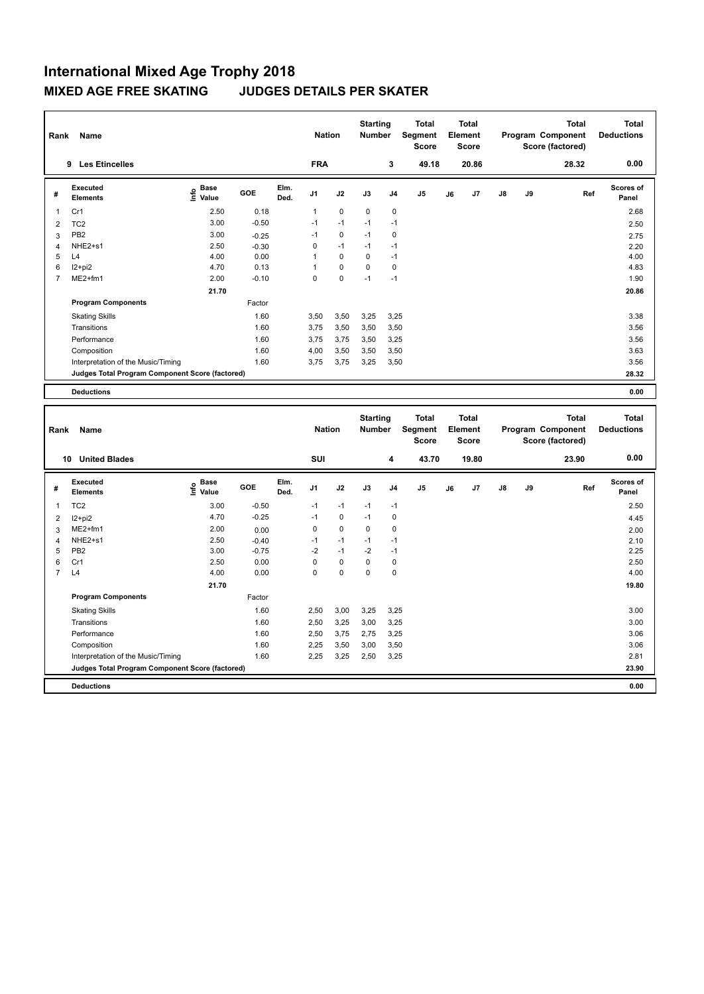| Rank           | Name                                            |                             |         |              | <b>Nation</b>  |             | <b>Starting</b><br><b>Number</b> |                | <b>Total</b><br>Segment<br><b>Score</b> |    | <b>Total</b><br>Element<br><b>Score</b> |               |    | <b>Total</b><br>Program Component<br>Score (factored) | <b>Total</b><br><b>Deductions</b> |
|----------------|-------------------------------------------------|-----------------------------|---------|--------------|----------------|-------------|----------------------------------|----------------|-----------------------------------------|----|-----------------------------------------|---------------|----|-------------------------------------------------------|-----------------------------------|
|                | <b>Les Etincelles</b><br>9                      |                             |         |              | <b>FRA</b>     |             |                                  | 3              | 49.18                                   |    | 20.86                                   |               |    | 28.32                                                 | 0.00                              |
| #              | Executed<br><b>Elements</b>                     | Base<br>$\frac{6}{5}$ Value | GOE     | Elm.<br>Ded. | J <sub>1</sub> | J2          | J3                               | J <sub>4</sub> | J <sub>5</sub>                          | J6 | J7                                      | $\mathsf{J}8$ | J9 | Ref                                                   | <b>Scores of</b><br>Panel         |
| 1              | Cr1                                             | 2.50                        | 0.18    |              | 1              | $\mathbf 0$ | $\mathbf 0$                      | $\mathbf 0$    |                                         |    |                                         |               |    |                                                       | 2.68                              |
| $\overline{2}$ | TC <sub>2</sub>                                 | 3.00                        | $-0.50$ |              | $-1$           | $-1$        | $-1$                             | $-1$           |                                         |    |                                         |               |    |                                                       | 2.50                              |
| 3              | PB <sub>2</sub>                                 | 3.00                        | $-0.25$ |              | $-1$           | 0           | $-1$                             | 0              |                                         |    |                                         |               |    |                                                       | 2.75                              |
| $\overline{4}$ | NHE2+s1                                         | 2.50                        | $-0.30$ |              | 0              | $-1$        | $-1$                             | $-1$           |                                         |    |                                         |               |    |                                                       | 2.20                              |
| 5              | L4                                              | 4.00                        | 0.00    |              | 1              | 0           | $\Omega$                         | $-1$           |                                         |    |                                         |               |    |                                                       | 4.00                              |
| 6              | I2+pi2                                          | 4.70                        | 0.13    |              |                | $\mathbf 0$ | $\Omega$                         | $\mathbf 0$    |                                         |    |                                         |               |    |                                                       | 4.83                              |
| $\overline{7}$ | ME2+fm1                                         | 2.00                        | $-0.10$ |              | 0              | $\mathbf 0$ | $-1$                             | $-1$           |                                         |    |                                         |               |    |                                                       | 1.90                              |
|                |                                                 | 21.70                       |         |              |                |             |                                  |                |                                         |    |                                         |               |    |                                                       | 20.86                             |
|                | <b>Program Components</b>                       |                             | Factor  |              |                |             |                                  |                |                                         |    |                                         |               |    |                                                       |                                   |
|                | <b>Skating Skills</b>                           |                             | 1.60    |              | 3,50           | 3,50        | 3,25                             | 3,25           |                                         |    |                                         |               |    |                                                       | 3.38                              |
|                | Transitions                                     |                             | 1.60    |              | 3.75           | 3,50        | 3,50                             | 3,50           |                                         |    |                                         |               |    |                                                       | 3.56                              |
|                | Performance                                     |                             | 1.60    |              | 3,75           | 3,75        | 3,50                             | 3,25           |                                         |    |                                         |               |    |                                                       | 3.56                              |
|                | Composition                                     |                             | 1.60    |              | 4,00           | 3,50        | 3,50                             | 3,50           |                                         |    |                                         |               |    |                                                       | 3.63                              |
|                | Interpretation of the Music/Timing              |                             | 1.60    |              | 3,75           | 3,75        | 3,25                             | 3,50           |                                         |    |                                         |               |    |                                                       | 3.56                              |
|                | Judges Total Program Component Score (factored) |                             |         |              |                |             |                                  |                |                                         |    |                                         |               |    |                                                       | 28.32                             |
|                | <b>Deductions</b>                               |                             |         |              |                |             |                                  |                |                                         |    |                                         |               |    |                                                       | 0.00                              |

| Rank           | Name                                            |                              |         |              | <b>Nation</b>  |             | <b>Starting</b><br><b>Number</b> |                | <b>Total</b><br>Segment<br><b>Score</b> |    | <b>Total</b><br>Element<br><b>Score</b> |               |    | <b>Total</b><br>Program Component<br>Score (factored) | <b>Total</b><br><b>Deductions</b> |
|----------------|-------------------------------------------------|------------------------------|---------|--------------|----------------|-------------|----------------------------------|----------------|-----------------------------------------|----|-----------------------------------------|---------------|----|-------------------------------------------------------|-----------------------------------|
| 10             | <b>United Blades</b>                            |                              |         |              | SUI            |             |                                  | 4              | 43.70                                   |    | 19.80                                   |               |    | 23.90                                                 | 0.00                              |
| #              | Executed<br><b>Elements</b>                     | <b>Base</b><br>lnfo<br>Value | GOE     | Elm.<br>Ded. | J <sub>1</sub> | J2          | J3                               | J <sub>4</sub> | J5                                      | J6 | J7                                      | $\mathsf{J}8$ | J9 | Ref                                                   | <b>Scores of</b><br>Panel         |
| 1              | TC <sub>2</sub>                                 | 3.00                         | $-0.50$ |              | $-1$           | $-1$        | $-1$                             | $-1$           |                                         |    |                                         |               |    |                                                       | 2.50                              |
| 2              | $12+pi2$                                        | 4.70                         | $-0.25$ |              | $-1$           | $\mathbf 0$ | $-1$                             | 0              |                                         |    |                                         |               |    |                                                       | 4.45                              |
| 3              | $ME2+fm1$                                       | 2.00                         | 0.00    |              | 0              | $\mathbf 0$ | $\mathbf 0$                      | $\mathbf 0$    |                                         |    |                                         |               |    |                                                       | 2.00                              |
| 4              | NHE2+s1                                         | 2.50                         | $-0.40$ |              | $-1$           | $-1$        | $-1$                             | $-1$           |                                         |    |                                         |               |    |                                                       | 2.10                              |
| 5              | PB <sub>2</sub>                                 | 3.00                         | $-0.75$ |              | $-2$           | $-1$        | $-2$                             | $-1$           |                                         |    |                                         |               |    |                                                       | 2.25                              |
| 6              | Cr1                                             | 2.50                         | 0.00    |              | 0              | $\mathbf 0$ | $\mathbf 0$                      | $\mathbf 0$    |                                         |    |                                         |               |    |                                                       | 2.50                              |
| $\overline{7}$ | L4                                              | 4.00                         | 0.00    |              | $\Omega$       | $\mathbf 0$ | 0                                | $\mathbf 0$    |                                         |    |                                         |               |    |                                                       | 4.00                              |
|                |                                                 | 21.70                        |         |              |                |             |                                  |                |                                         |    |                                         |               |    |                                                       | 19.80                             |
|                | <b>Program Components</b>                       |                              | Factor  |              |                |             |                                  |                |                                         |    |                                         |               |    |                                                       |                                   |
|                | <b>Skating Skills</b>                           |                              | 1.60    |              | 2,50           | 3,00        | 3,25                             | 3,25           |                                         |    |                                         |               |    |                                                       | 3.00                              |
|                | Transitions                                     |                              | 1.60    |              | 2,50           | 3,25        | 3,00                             | 3,25           |                                         |    |                                         |               |    |                                                       | 3.00                              |
|                | Performance                                     |                              | 1.60    |              | 2,50           | 3,75        | 2.75                             | 3,25           |                                         |    |                                         |               |    |                                                       | 3.06                              |
|                | Composition                                     |                              | 1.60    |              | 2,25           | 3,50        | 3,00                             | 3,50           |                                         |    |                                         |               |    |                                                       | 3.06                              |
|                | Interpretation of the Music/Timing              |                              | 1.60    |              | 2,25           | 3,25        | 2,50                             | 3,25           |                                         |    |                                         |               |    |                                                       | 2.81                              |
|                | Judges Total Program Component Score (factored) |                              |         |              |                |             |                                  |                |                                         |    |                                         |               |    |                                                       | 23.90                             |
|                | <b>Deductions</b>                               |                              |         |              |                |             |                                  |                |                                         |    |                                         |               |    |                                                       | 0.00                              |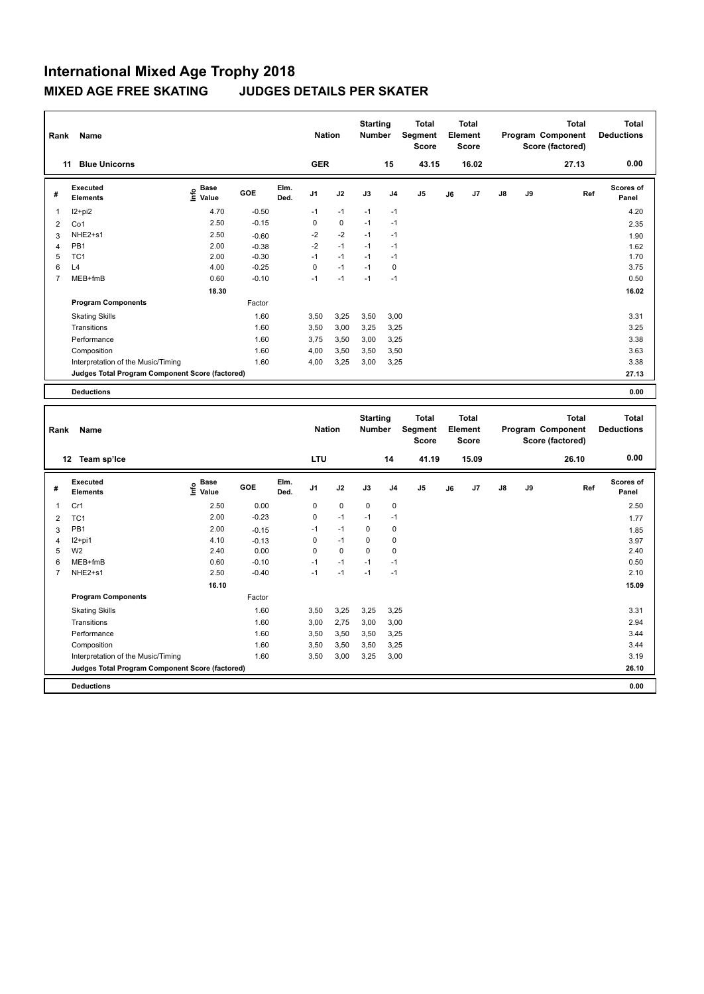| Rank           | Name                                            |                                    |         |              | <b>Nation</b>  |             | <b>Starting</b><br><b>Number</b> |                | <b>Total</b><br>Segment<br><b>Score</b> |    | Total<br>Element<br><b>Score</b> |               |    | <b>Total</b><br>Program Component<br>Score (factored) | <b>Total</b><br><b>Deductions</b> |
|----------------|-------------------------------------------------|------------------------------------|---------|--------------|----------------|-------------|----------------------------------|----------------|-----------------------------------------|----|----------------------------------|---------------|----|-------------------------------------------------------|-----------------------------------|
|                | <b>Blue Unicorns</b><br>11                      |                                    |         |              | <b>GER</b>     |             |                                  | 15             | 43.15                                   |    | 16.02                            |               |    | 27.13                                                 | 0.00                              |
| #              | Executed<br><b>Elements</b>                     | <b>Base</b><br>$\frac{6}{5}$ Value | GOE     | Elm.<br>Ded. | J <sub>1</sub> | J2          | J3                               | J <sub>4</sub> | J <sub>5</sub>                          | J6 | J7                               | $\mathsf{J}8$ | J9 | Ref                                                   | <b>Scores of</b><br>Panel         |
| -1             | $12+pi2$                                        | 4.70                               | $-0.50$ |              | $-1$           | $-1$        | $-1$                             | $-1$           |                                         |    |                                  |               |    |                                                       | 4.20                              |
| $\overline{2}$ | Co1                                             | 2.50                               | $-0.15$ |              | 0              | $\mathbf 0$ | $-1$                             | $-1$           |                                         |    |                                  |               |    |                                                       | 2.35                              |
| 3              | NHE2+s1                                         | 2.50                               | $-0.60$ |              | $-2$           | $-2$        | $-1$                             | $-1$           |                                         |    |                                  |               |    |                                                       | 1.90                              |
| 4              | PB <sub>1</sub>                                 | 2.00                               | $-0.38$ |              | $-2$           | $-1$        | $-1$                             | $-1$           |                                         |    |                                  |               |    |                                                       | 1.62                              |
| 5              | TC <sub>1</sub>                                 | 2.00                               | $-0.30$ |              | $-1$           | $-1$        | $-1$                             | $-1$           |                                         |    |                                  |               |    |                                                       | 1.70                              |
| 6              | L4                                              | 4.00                               | $-0.25$ |              | $\Omega$       | $-1$        | $-1$                             | $\Omega$       |                                         |    |                                  |               |    |                                                       | 3.75                              |
| $\overline{7}$ | MEB+fmB                                         | 0.60                               | $-0.10$ |              | $-1$           | $-1$        | $-1$                             | $-1$           |                                         |    |                                  |               |    |                                                       | 0.50                              |
|                |                                                 | 18.30                              |         |              |                |             |                                  |                |                                         |    |                                  |               |    |                                                       | 16.02                             |
|                | <b>Program Components</b>                       |                                    | Factor  |              |                |             |                                  |                |                                         |    |                                  |               |    |                                                       |                                   |
|                | <b>Skating Skills</b>                           |                                    | 1.60    |              | 3,50           | 3,25        | 3,50                             | 3,00           |                                         |    |                                  |               |    |                                                       | 3.31                              |
|                | Transitions                                     |                                    | 1.60    |              | 3,50           | 3,00        | 3,25                             | 3,25           |                                         |    |                                  |               |    |                                                       | 3.25                              |
|                | Performance                                     |                                    | 1.60    |              | 3.75           | 3,50        | 3,00                             | 3,25           |                                         |    |                                  |               |    |                                                       | 3.38                              |
|                | Composition                                     |                                    | 1.60    |              | 4,00           | 3,50        | 3,50                             | 3.50           |                                         |    |                                  |               |    |                                                       | 3.63                              |
|                | Interpretation of the Music/Timing              |                                    | 1.60    |              | 4,00           | 3,25        | 3,00                             | 3,25           |                                         |    |                                  |               |    |                                                       | 3.38                              |
|                | Judges Total Program Component Score (factored) |                                    |         |              |                |             |                                  |                |                                         |    |                                  |               |    |                                                       | 27.13                             |
|                | <b>Deductions</b>                               |                                    |         |              |                |             |                                  |                |                                         |    |                                  |               |    |                                                       | 0.00                              |

| Rank           | Name                                            |                                  |         |              | <b>Nation</b>  |             | <b>Starting</b><br><b>Number</b> |                | <b>Total</b><br>Segment<br><b>Score</b> |    | <b>Total</b><br>Element<br><b>Score</b> |               |    | <b>Total</b><br>Program Component<br>Score (factored) | <b>Total</b><br><b>Deductions</b> |
|----------------|-------------------------------------------------|----------------------------------|---------|--------------|----------------|-------------|----------------------------------|----------------|-----------------------------------------|----|-----------------------------------------|---------------|----|-------------------------------------------------------|-----------------------------------|
|                | 12<br>Team sp'Ice                               |                                  |         |              | <b>LTU</b>     |             |                                  | 14             | 41.19                                   |    | 15.09                                   |               |    | 26.10                                                 | 0.00                              |
| #              | Executed<br><b>Elements</b>                     | <b>Base</b><br>e Base<br>⊆ Value | GOE     | Elm.<br>Ded. | J <sub>1</sub> | J2          | J3                               | J <sub>4</sub> | J <sub>5</sub>                          | J6 | J7                                      | $\mathsf{J}8$ | J9 | Ref                                                   | <b>Scores of</b><br>Panel         |
| $\mathbf{1}$   | Cr1                                             | 2.50                             | 0.00    |              | 0              | $\mathbf 0$ | $\mathbf 0$                      | $\pmb{0}$      |                                         |    |                                         |               |    |                                                       | 2.50                              |
| $\overline{2}$ | TC <sub>1</sub>                                 | 2.00                             | $-0.23$ |              | 0              | $-1$        | $-1$                             | -1             |                                         |    |                                         |               |    |                                                       | 1.77                              |
| 3              | PB1                                             | 2.00                             | $-0.15$ |              | $-1$           | $-1$        | 0                                | 0              |                                         |    |                                         |               |    |                                                       | 1.85                              |
| $\overline{4}$ | I2+pi1                                          | 4.10                             | $-0.13$ |              | 0              | $-1$        | 0                                | 0              |                                         |    |                                         |               |    |                                                       | 3.97                              |
| 5              | W <sub>2</sub>                                  | 2.40                             | 0.00    |              | 0              | 0           | 0                                | 0              |                                         |    |                                         |               |    |                                                       | 2.40                              |
| 6              | MEB+fmB                                         | 0.60                             | $-0.10$ |              | $-1$           | $-1$        | $-1$                             | $-1$           |                                         |    |                                         |               |    |                                                       | 0.50                              |
| 7              | NHE2+s1                                         | 2.50                             | $-0.40$ |              | $-1$           | $-1$        | $-1$                             | $-1$           |                                         |    |                                         |               |    |                                                       | 2.10                              |
|                |                                                 | 16.10                            |         |              |                |             |                                  |                |                                         |    |                                         |               |    |                                                       | 15.09                             |
|                | <b>Program Components</b>                       |                                  | Factor  |              |                |             |                                  |                |                                         |    |                                         |               |    |                                                       |                                   |
|                | <b>Skating Skills</b>                           |                                  | 1.60    |              | 3.50           | 3,25        | 3,25                             | 3,25           |                                         |    |                                         |               |    |                                                       | 3.31                              |
|                | Transitions                                     |                                  | 1.60    |              | 3,00           | 2,75        | 3,00                             | 3,00           |                                         |    |                                         |               |    |                                                       | 2.94                              |
|                | Performance                                     |                                  | 1.60    |              | 3,50           | 3,50        | 3,50                             | 3,25           |                                         |    |                                         |               |    |                                                       | 3.44                              |
|                | Composition                                     |                                  | 1.60    |              | 3,50           | 3,50        | 3,50                             | 3,25           |                                         |    |                                         |               |    |                                                       | 3.44                              |
|                | Interpretation of the Music/Timing              |                                  | 1.60    |              | 3,50           | 3,00        | 3,25                             | 3,00           |                                         |    |                                         |               |    |                                                       | 3.19                              |
|                | Judges Total Program Component Score (factored) |                                  |         |              |                |             |                                  |                |                                         |    |                                         |               |    |                                                       | 26.10                             |
|                | <b>Deductions</b>                               |                                  |         |              |                |             |                                  |                |                                         |    |                                         |               |    |                                                       | 0.00                              |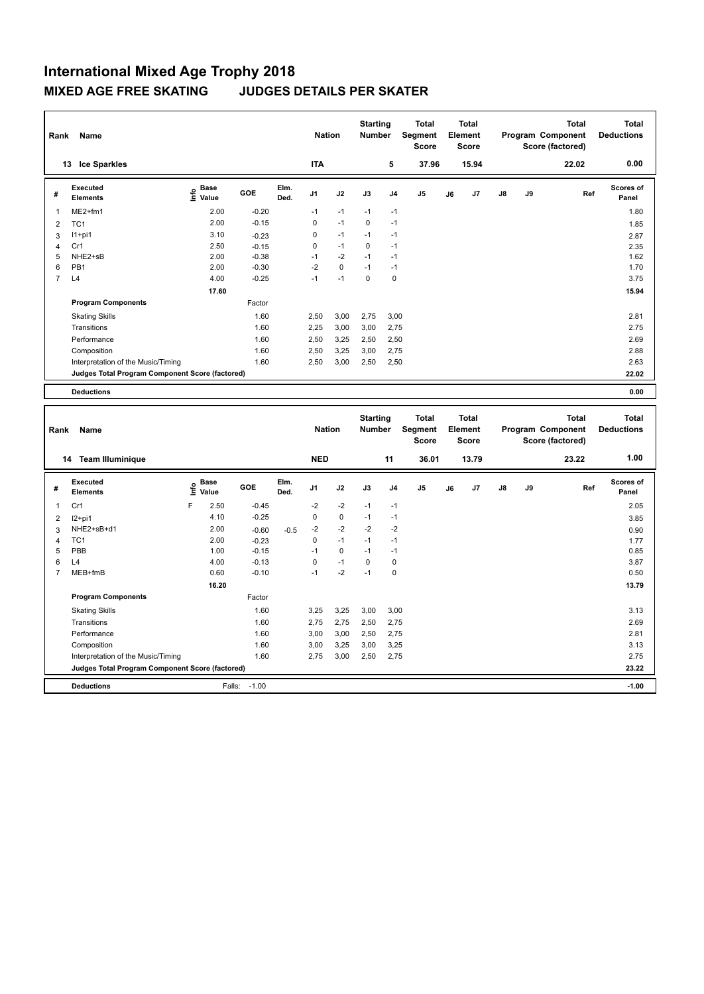| Rank           | Name                                            |                                    |         |              | <b>Nation</b>  |             | <b>Starting</b><br><b>Number</b> |                | <b>Total</b><br>Segment<br><b>Score</b> |    | <b>Total</b><br>Element<br><b>Score</b> |               |    | <b>Total</b><br>Program Component<br>Score (factored) | <b>Total</b><br><b>Deductions</b> |
|----------------|-------------------------------------------------|------------------------------------|---------|--------------|----------------|-------------|----------------------------------|----------------|-----------------------------------------|----|-----------------------------------------|---------------|----|-------------------------------------------------------|-----------------------------------|
|                | <b>Ice Sparkles</b><br>13                       |                                    |         |              | <b>ITA</b>     |             |                                  | 5              | 37.96                                   |    | 15.94                                   |               |    | 22.02                                                 | 0.00                              |
| #              | Executed<br><b>Elements</b>                     | <b>Base</b><br>$\frac{6}{5}$ Value | GOE     | Elm.<br>Ded. | J <sub>1</sub> | J2          | J3                               | J <sub>4</sub> | J <sub>5</sub>                          | J6 | J7                                      | $\mathsf{J}8$ | J9 | Ref                                                   | <b>Scores of</b><br>Panel         |
| 1              | $ME2+fm1$                                       | 2.00                               | $-0.20$ |              | $-1$           | $-1$        | $-1$                             | $-1$           |                                         |    |                                         |               |    |                                                       | 1.80                              |
| $\overline{2}$ | TC <sub>1</sub>                                 | 2.00                               | $-0.15$ |              | 0              | $-1$        | 0                                | $-1$           |                                         |    |                                         |               |    |                                                       | 1.85                              |
| 3              | $11+pi1$                                        | 3.10                               | $-0.23$ |              | 0              | $-1$        | $-1$                             | -1             |                                         |    |                                         |               |    |                                                       | 2.87                              |
| $\overline{4}$ | Cr1                                             | 2.50                               | $-0.15$ |              | 0              | $-1$        | 0                                | $-1$           |                                         |    |                                         |               |    |                                                       | 2.35                              |
| 5              | NHE2+sB                                         | 2.00                               | $-0.38$ |              | $-1$           | $-2$        | $-1$                             | $-1$           |                                         |    |                                         |               |    |                                                       | 1.62                              |
| 6              | PB <sub>1</sub>                                 | 2.00                               | $-0.30$ |              | $-2$           | $\mathbf 0$ | $-1$                             | $-1$           |                                         |    |                                         |               |    |                                                       | 1.70                              |
| $\overline{7}$ | L4                                              | 4.00                               | $-0.25$ |              | $-1$           | $-1$        | 0                                | 0              |                                         |    |                                         |               |    |                                                       | 3.75                              |
|                |                                                 | 17.60                              |         |              |                |             |                                  |                |                                         |    |                                         |               |    |                                                       | 15.94                             |
|                | <b>Program Components</b>                       |                                    | Factor  |              |                |             |                                  |                |                                         |    |                                         |               |    |                                                       |                                   |
|                | <b>Skating Skills</b>                           |                                    | 1.60    |              | 2,50           | 3,00        | 2,75                             | 3,00           |                                         |    |                                         |               |    |                                                       | 2.81                              |
|                | Transitions                                     |                                    | 1.60    |              | 2,25           | 3,00        | 3,00                             | 2,75           |                                         |    |                                         |               |    |                                                       | 2.75                              |
|                | Performance                                     |                                    | 1.60    |              | 2,50           | 3,25        | 2,50                             | 2,50           |                                         |    |                                         |               |    |                                                       | 2.69                              |
|                | Composition                                     |                                    | 1.60    |              | 2,50           | 3,25        | 3,00                             | 2,75           |                                         |    |                                         |               |    |                                                       | 2.88                              |
|                | Interpretation of the Music/Timing              |                                    | 1.60    |              | 2,50           | 3,00        | 2,50                             | 2,50           |                                         |    |                                         |               |    |                                                       | 2.63                              |
|                | Judges Total Program Component Score (factored) |                                    |         |              |                |             |                                  |                |                                         |    |                                         |               |    |                                                       | 22.02                             |
|                | <b>Deductions</b>                               |                                    |         |              |                |             |                                  |                |                                         |    |                                         |               |    |                                                       | 0.00                              |

| Rank           | <b>Name</b>                                     |      |                      |         |              | <b>Nation</b>  |             | <b>Starting</b><br><b>Number</b> |                | Total<br>Segment<br><b>Score</b> |    | <b>Total</b><br>Element<br><b>Score</b> |               |    | <b>Total</b><br>Program Component<br>Score (factored) | Total<br><b>Deductions</b> |
|----------------|-------------------------------------------------|------|----------------------|---------|--------------|----------------|-------------|----------------------------------|----------------|----------------------------------|----|-----------------------------------------|---------------|----|-------------------------------------------------------|----------------------------|
|                | <b>Team Illuminique</b><br>14                   |      |                      |         |              | <b>NED</b>     |             |                                  | 11             | 36.01                            |    | 13.79                                   |               |    | 23.22                                                 | 1.00                       |
| #              | Executed<br><b>Elements</b>                     | lnfo | <b>Base</b><br>Value | GOE     | Elm.<br>Ded. | J <sub>1</sub> | J2          | J3                               | J <sub>4</sub> | J <sub>5</sub>                   | J6 | J <sub>7</sub>                          | $\mathsf{J}8$ | J9 | Ref                                                   | <b>Scores of</b><br>Panel  |
| 1              | Cr1                                             | F    | 2.50                 | $-0.45$ |              | $-2$           | $-2$        | $-1$                             | $-1$           |                                  |    |                                         |               |    |                                                       | 2.05                       |
| 2              | $I2+pi1$                                        |      | 4.10                 | $-0.25$ |              | 0              | $\mathbf 0$ | $-1$                             | $-1$           |                                  |    |                                         |               |    |                                                       | 3.85                       |
| 3              | NHE2+sB+d1                                      |      | 2.00                 | $-0.60$ | $-0.5$       | $-2$           | $-2$        | $-2$                             | $-2$           |                                  |    |                                         |               |    |                                                       | 0.90                       |
| $\overline{4}$ | TC <sub>1</sub>                                 |      | 2.00                 | $-0.23$ |              | 0              | $-1$        | $-1$                             | $-1$           |                                  |    |                                         |               |    |                                                       | 1.77                       |
| 5              | PBB                                             |      | 1.00                 | $-0.15$ |              | $-1$           | 0           | $-1$                             | $-1$           |                                  |    |                                         |               |    |                                                       | 0.85                       |
| 6              | L4                                              |      | 4.00                 | $-0.13$ |              | $\Omega$       | $-1$        | $\Omega$                         | $\mathbf 0$    |                                  |    |                                         |               |    |                                                       | 3.87                       |
| 7              | MEB+fmB                                         |      | 0.60                 | $-0.10$ |              | $-1$           | $-2$        | $-1$                             | $\mathbf 0$    |                                  |    |                                         |               |    |                                                       | 0.50                       |
|                |                                                 |      | 16.20                |         |              |                |             |                                  |                |                                  |    |                                         |               |    |                                                       | 13.79                      |
|                | <b>Program Components</b>                       |      |                      | Factor  |              |                |             |                                  |                |                                  |    |                                         |               |    |                                                       |                            |
|                | <b>Skating Skills</b>                           |      |                      | 1.60    |              | 3,25           | 3,25        | 3,00                             | 3,00           |                                  |    |                                         |               |    |                                                       | 3.13                       |
|                | Transitions                                     |      |                      | 1.60    |              | 2.75           | 2,75        | 2,50                             | 2,75           |                                  |    |                                         |               |    |                                                       | 2.69                       |
|                | Performance                                     |      |                      | 1.60    |              | 3,00           | 3,00        | 2,50                             | 2,75           |                                  |    |                                         |               |    |                                                       | 2.81                       |
|                | Composition                                     |      |                      | 1.60    |              | 3,00           | 3,25        | 3,00                             | 3,25           |                                  |    |                                         |               |    |                                                       | 3.13                       |
|                | Interpretation of the Music/Timing              |      |                      | 1.60    |              | 2,75           | 3,00        | 2,50                             | 2,75           |                                  |    |                                         |               |    |                                                       | 2.75                       |
|                | Judges Total Program Component Score (factored) |      |                      |         |              |                |             |                                  |                |                                  |    |                                         |               |    |                                                       | 23.22                      |
|                | <b>Deductions</b>                               |      | Falls:               | $-1.00$ |              |                |             |                                  |                |                                  |    |                                         |               |    |                                                       | $-1.00$                    |